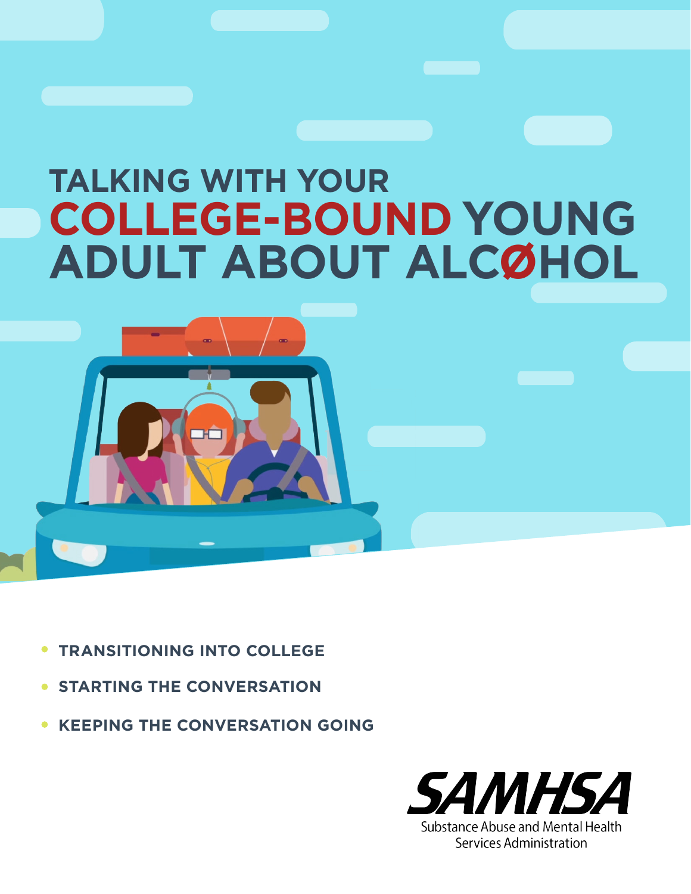# **TALKING WITH YOUR COLLEGE-BOUND YOUNG ADULT ABOUT ALCOHOL**



- **TRANSITIONING INTO COLLEGE**
- **STARTING THE CONVERSATION** $\bullet$
- **KEEPING THE CONVERSATION GOING**

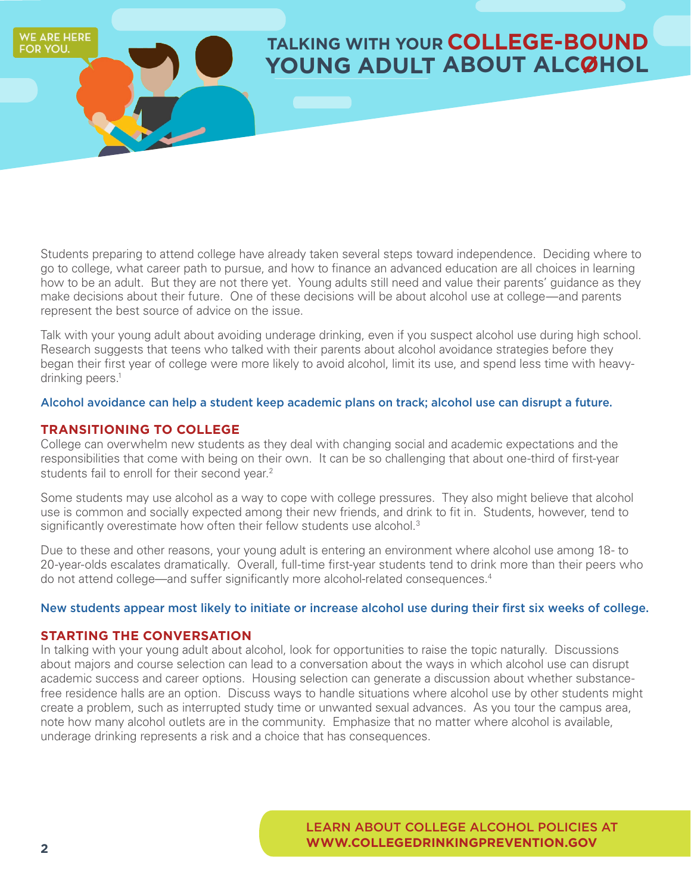## **TALKING WITH YOUR COLLEGE-BOUND YOUNG ADULT ABOUT ALCOHOL**

Students preparing to attend college have already taken several steps toward independence. Deciding where to go to college, what career path to pursue, and how to finance an advanced education are all choices in learning how to be an adult. But they are not there yet. Young adults still need and value their parents' guidance as they make decisions about their future. One of these decisions will be about alcohol use at college—and parents represent the best source of advice on the issue.

Talk with your young adult about avoiding underage drinking, even if you suspect alcohol use during high school. Research suggests that teens who talked with their parents about alcohol avoidance strategies before they began their first year of college were more likely to avoid alcohol, limit its use, and spend less time with heavydrinking peers. 1

#### Alcohol avoidance can help a student keep academic plans on track; alcohol use can disrupt a future.

### **TRANSITIONING TO COLLEGE**

**WE ARE HERE** OR YOU.

> College can overwhelm new students as they deal with changing social and academic expectations and the responsibilities that come with being on their own. It can be so challenging that about one-third of first-year students fail to enroll for their second year.<sup>2</sup>

Some students may use alcohol as a way to cope with college pressures. They also might believe that alcohol use is common and socially expected among their new friends, and drink to fit in. Students, however, tend to significantly overestimate how often their fellow students use alcohol.<sup>3</sup>

Due to these and other reasons, your young adult is entering an environment where alcohol use among 18- to 20-year-olds escalates dramatically. Overall, full-time first-year students tend to drink more than their peers who do not attend college—and suffer significantly more alcohol-related consequences.<sup>4</sup>

### New students appear most likely to initiate or increase alcohol use during their first six weeks of college.

### **STARTING THE CONVERSATION**

In talking with your young adult about alcohol, look for opportunities to raise the topic naturally. Discussions about majors and course selection can lead to a conversation about the ways in which alcohol use can disrupt academic success and career options. Housing selection can generate a discussion about whether substancefree residence halls are an option. Discuss ways to handle situations where alcohol use by other students might create a problem, such as interrupted study time or unwanted sexual advances. As you tour the campus area, note how many alcohol outlets are in the community. Emphasize that no matter where alcohol is available, underage drinking represents a risk and a choice that has consequences.

> LEARN ABOUT COLLEGE ALCOHOL POLICIES AT **[WWW.COLLEGEDRINKINGPREVENTION.GOV](http://www.collegedrinkingprevention.gov)**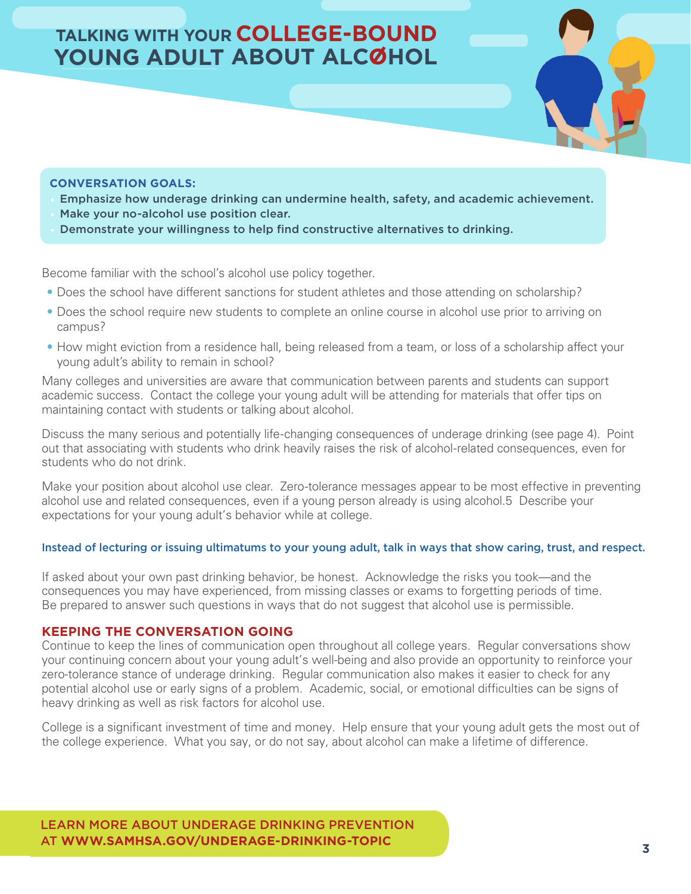## **TALKING WITH YOUR COLLEGE-BOUND** YOUNG ADULT ABOUT ALCOHOL



- Emphasize how underage drinking can undermine health, safety, and academic achievement.
- Make your no-alcohol use position clear.
- Demonstrate your willingness to help find constructive alternatives to drinking.

Become familiar with the school's alcohol use policy together.

- Does the school have different sanctions for student athletes and those attending on scholarship?
- Does the school require new students to complete an online course in alcohol use prior to arriving on campus?
- How might eviction from a residence hall, being released from a team, or loss of a scholarship affect your young adult's ability to remain in school?

Many colleges and universities are aware that communication between parents and students can support academic success. Contact the college your young adult will be attending for materials that offer tips on maintaining contact with students or talking about alcohol.

Discuss the many serious and potentially life-changing consequences of underage drinking (see page 4). Point out that associating with students who drink heavily raises the risk of alcohol-related consequences, even for students who do not drink.

Make your position about alcohol use clear. Zero-tolerance messages appear to be most effective in preventing alcohol use and related consequences, even if a young person already is using alcohol.5 Describe your expectations for your young adult's behavior while at college.

#### Instead of lecturing or issuing ultimatums to your young adult, talk in ways that show caring, trust, and respect.

If asked about your own past drinking behavior, be honest. Acknowledge the risks you took—and the consequences you may have experienced, from missing classes or exams to forgetting periods of time. Be prepared to answer such questions in ways that do not suggest that alcohol use is permissible.

### **KEEPING THE CONVERSATION GOING**

Continue to keep the lines of communication open throughout all college years. Regular conversations show your continuing concern about your young adult's well-being and also provide an opportunity to reinforce your zero-tolerance stance of underage drinking. Regular communication also makes it easier to check for any potential alcohol use or early signs of a problem. Academic, social, or emotional difficulties can be signs of heavy drinking as well as risk factors for alcohol use.

College is a significant investment of time and money. Help ensure that your young adult gets the most out of the college experience. What you say, or do not say, about alcohol can make a lifetime of difference.